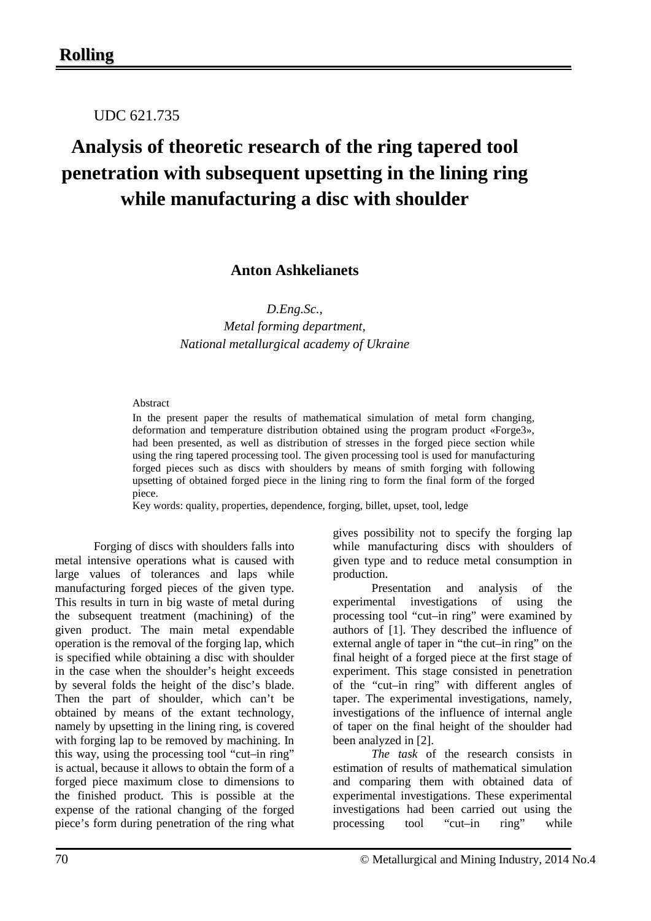UDC 621.735

# **Analysis of theoretic research of the ring tapered tool penetration with subsequent upsetting in the lining ring while manufacturing a disc with shoulder**

**Anton Ashkelianets**

*D.Eng.Sc.,*

*Metal forming department, National metallurgical academy of Ukraine*

### Abstract

In the present paper the results of mathematical simulation of metal form changing, deformation and temperature distribution obtained using the program product «Forge3», had been presented, as well as distribution of stresses in the forged piece section while using the ring tapered processing tool. The given processing tool is used for manufacturing forged pieces such as discs with shoulders by means of smith forging with following upsetting of obtained forged piece in the lining ring to form the final form of the forged piece.

Key words: quality, properties, dependence, forging, billet, upset, tool, ledge

Forging of discs with shoulders falls into metal intensive operations what is caused with large values of tolerances and laps while manufacturing forged pieces of the given type. This results in turn in big waste of metal during the subsequent treatment (machining) of the given product. The main metal expendable operation is the removal of the forging lap, which is specified while obtaining a disc with shoulder in the case when the shoulder's height exceeds by several folds the height of the disc's blade. Then the part of shoulder, which can't be obtained by means of the extant technology, namely by upsetting in the lining ring, is covered with forging lap to be removed by machining. In this way, using the processing tool "cut–in ring" is actual, because it allows to obtain the form of a forged piece maximum close to dimensions to the finished product. This is possible at the expense of the rational changing of the forged piece's form during penetration of the ring what

gives possibility not to specify the forging lap while manufacturing discs with shoulders of given type and to reduce metal consumption in production.

Presentation and analysis of the experimental investigations of using the processing tool "cut–in ring" were examined by authors of [1]. They described the influence of external angle of taper in "the cut–in ring" on the final height of a forged piece at the first stage of experiment. This stage consisted in penetration of the "cut–in ring" with different angles of taper. The experimental investigations, namely, investigations of the influence of internal angle of taper on the final height of the shoulder had been analyzed in [2].

*The task* of the research consists in estimation of results of mathematical simulation and comparing them with obtained data of experimental investigations. These experimental investigations had been carried out using the processing tool "cut–in ring" while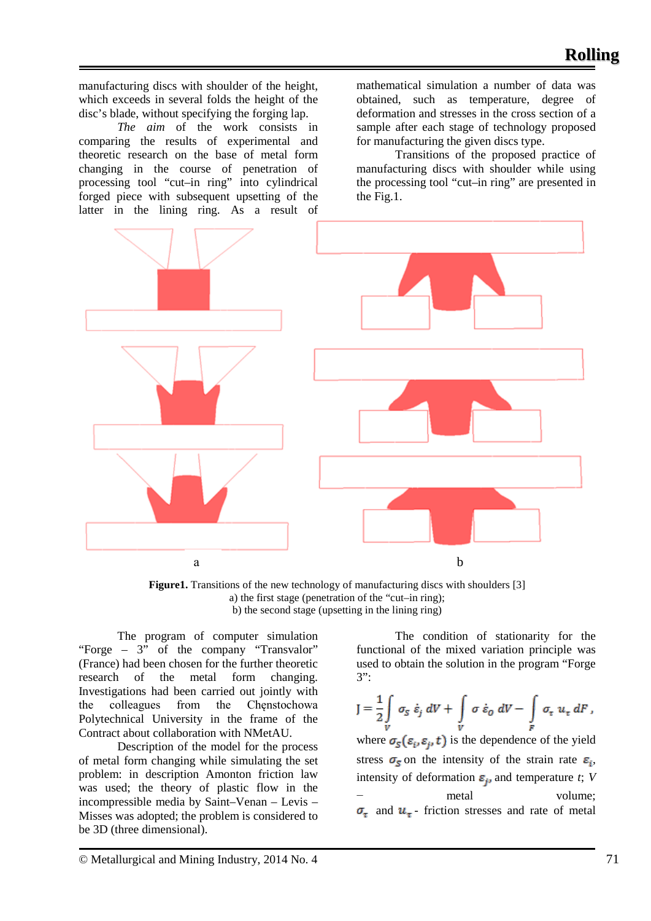manufacturing discs with shoulder of the height, which exceeds in several folds the height of the disc's blade, without specifying the forging lap.

*The aim* of the work consists in comparing the results of experimental and theoretic research on the base of metal form changing in the course of penetration of processing tool "cut–in ring" into cylindrical forged piece with subsequent upsetting of the latter in the lining ring. As a result of

mathematical simulation a number of data was obtained, such as temperature, degree of deformation and stresses in the cross section of a sample after each stage of technology proposed for manufacturing the given discs type.

Transitions of the proposed practice of manufacturing discs with shoulder while using the processing tool "cut–in ring" are presented in the Fig.1.



Figure1. Transitions of the new technology of manufacturing discs with shoulders [3] a) the first stage (penetration of the "cut–in ring); b) the second stage (upsetting in the lining ring)

The program of computer simulation "Forge – 3" of the company "Transvalor" (France) had been chosen for the further theoretic research of the metal form changing. Investigations had been carried out jointly with the colleagues from the Chęnstochowa Polytechnical University in the frame of the Contract about collaboration with NMetAU.

Description of the model for the process of metal form changing while simulating the set problem: in description Amonton friction law was used; the theory of plastic flow in the incompressible media by Saint–Venan – Levis – Misses was adopted; the problem is considered to be 3D (three dimensional).

The condition of stationarity for the functional of the mixed variation principle was used to obtain the solution in the program "Forge 3":

$$
J = \frac{1}{2} \int\limits_V \sigma_S \dot{\varepsilon}_j \, dV + \int\limits_V \sigma \dot{\varepsilon}_0 \, dV - \int\limits_F \sigma_{\tau} u_{\tau} \, dF,
$$

where  $\sigma_s(\varepsilon_i, \varepsilon_j, t)$  is the dependence of the yield stress  $\sigma_{\overline{s}}$  on the intensity of the strain rate  $\varepsilon_{\overline{s}}$ , intensity of deformation  $\varepsilon_{ij}$  and temperature *t*; *V* − metal volume;  $\sigma_{\pi}$  and  $u_{\pi}$ - friction stresses and rate of metal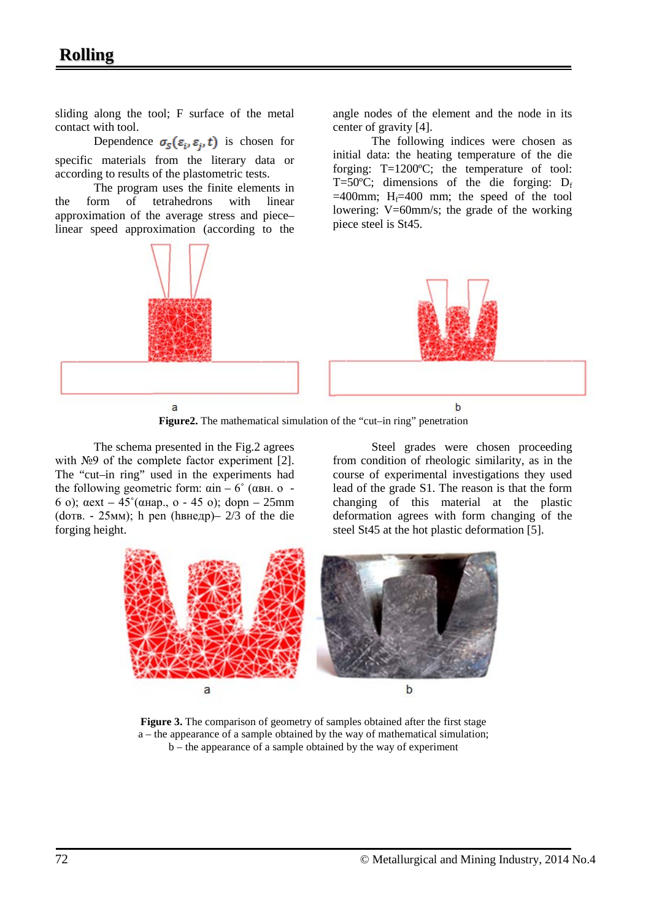## **Rolling**

sliding along the tool; F surface of the metal contact with tool.

Dependence  $\sigma_{\rm s}(\varepsilon_i, \varepsilon_i, t)$  is chosen for specific materials from the literary data or according to results of the plastometric tests.

The program uses the finite elements in<br>
orm of tetrahedrons with linear the form of tetrahedrons with linear approximation of the average stress and piece– linear speed approximation (according to the



**Figure2.** The mathematical simulation of the "cut–in ring" penetration

The schema presented in the Fig.2 agrees with №9 of the complete factor experiment [2]. The "cut–in ring" used in the experiments had the following geometric form:  $αin – 6°$  ( $αBH. o –$ 6 о); αext – 45˚(αнар., о - 45 о); dopn – 25mm (dотв. - 25мм); h pen (hвнедр) –  $2/3$  of the die forging height.

Steel grades were chosen proceeding from condition of rheologic similarity, as in the course of experimental investigations they used lead of the grade S1. The reason is that the form changing of this material at the plastic deformation agrees with form changing of the steel St45 at the hot plastic deformation [5].

angle nodes of the element and the node in its

initial data: the heating temperature of the die forging: T=1200ºC; the temperature of tool: T=50 $^{\circ}$ C; dimensions of the die forging: D<sub>f</sub>  $=400$ mm; H $=400$  mm; the speed of the tool lowering: V=60mm/s; the grade of the working

The following indices were chosen as

center of gravity [4].

piece steel is St45.



**Figure 3.** The comparison of geometry of samples obtained after the first stage a – the appearance of a sample obtained by the way of mathematical simulation; b – the appearance of a sample obtained by the way of experiment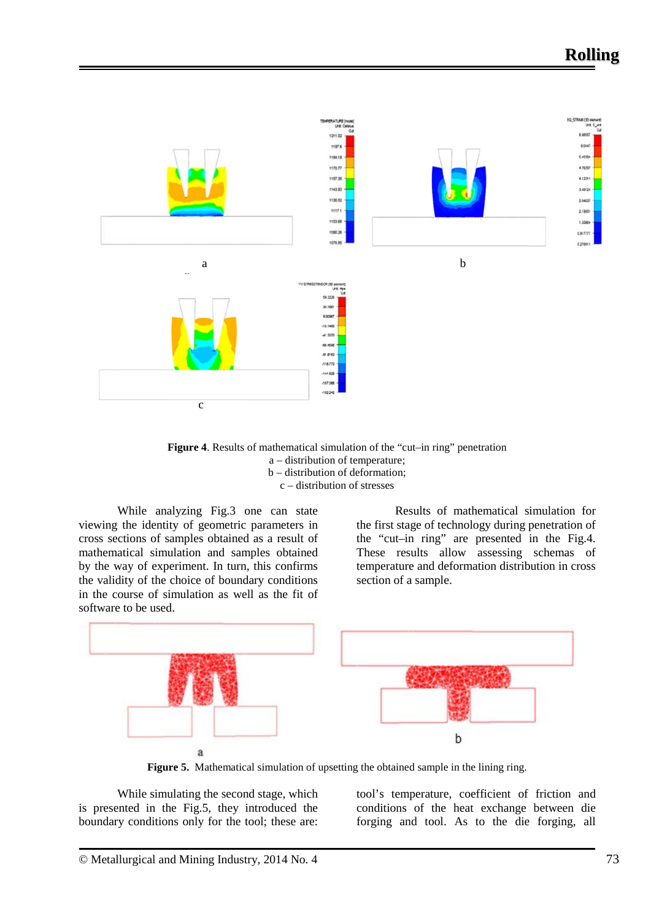

**Figure 4**. Results of mathematical simulation of the "cut–in ring" penetration a – distribution of temperature; b – distribution of deformation; c – distribution of stresses

While analyzing Fig.3 one can state viewing the identity of geometric parameters in cross sections of samples obtained as a result of mathematical simulation and samples obtained by the way of experiment. In turn, this confirms the validity of the choice of boundary conditions in the course of simulation as well as the fit of software to be used.

Results of mathematical simulation for the first stage of technology during penetration of the "cut–in ring" are presented in the Fig.4. These results allow assessing schemas of temperature and deformation distribution in cross section of a sample.



**Figure 5.** Mathematical simulation of upsetting the obtained sample in the lining ring.

While simulating the second stage, which is presented in the Fig.5, they introduced the boundary conditions only for the tool; these are: tool's temperature, coefficient of friction and conditions of the heat exchange between die forging and tool. As to the die forging, all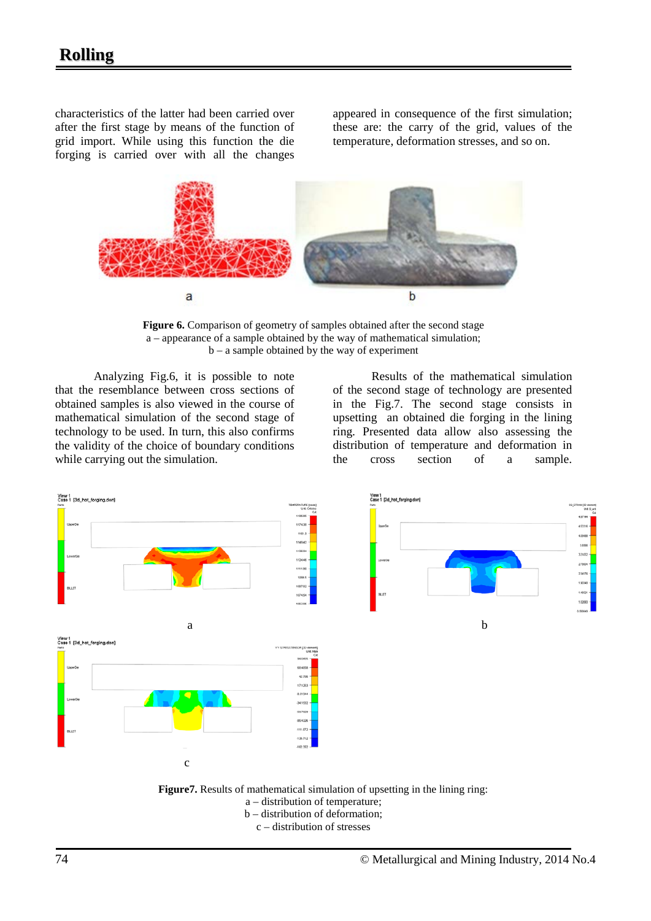characteristics of the latter had been carried over after the first stage by means of the function of grid import. While using this function the die forging is carried over with all the changes appeared in consequence of the first simulation; these are: the carry of the grid, values of the temperature, deformation stresses, and so on.



**Figure 6.** Comparison of geometry of samples obtained after the second stage a – appearance of a sample obtained by the way of mathematical simulation; b – a sample obtained by the way of experiment

Analyzing Fig.6, it is possible to note that the resemblance between cross sections of obtained samples is also viewed in the course of mathematical simulation of the second stage of technology to be used. In turn, this also confirms the validity of the choice of boundary conditions while carrying out the simulation.

Results of the mathematical simulation of the second stage of technology are presented in the Fig.7. The second stage consists in upsetting an obtained die forging in the lining ring. Presented data allow also assessing the distribution of temperature and deformation in the cross section of a sample.



 **Figure7.** Results of mathematical simulation of upsetting in the lining ring:

- a distribution of temperature;
	- b distribution of deformation;
		- c distribution of stresses